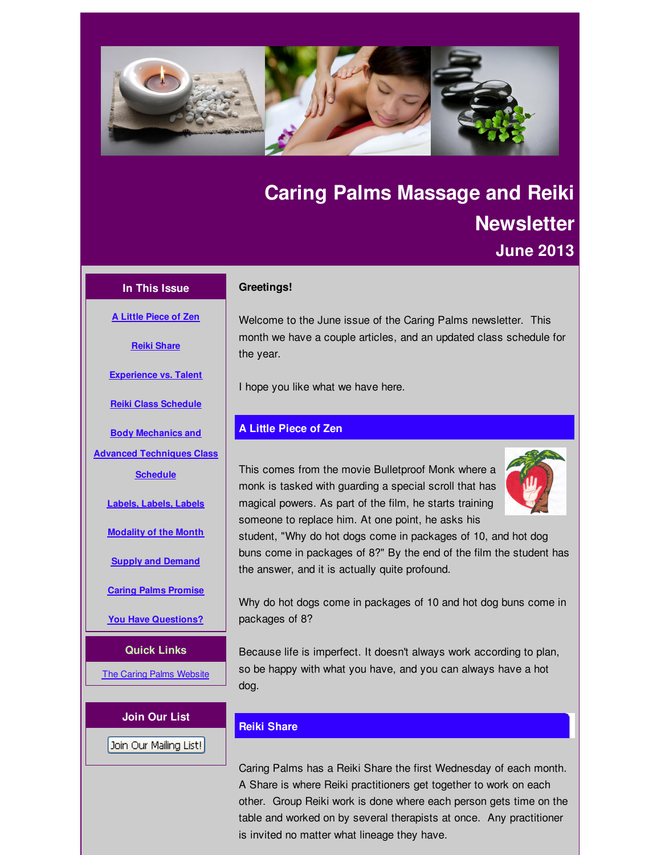<span id="page-0-0"></span>

# **Caring Palms Massage and Reiki Newsletter June 2013**

# **In This Issue**

**A Little [Piece](#page-0-0) of Zen**

**Reiki [Share](#page-0-0)**

## **Greetings!**

Welcome to the June issue of the Caring Palms newsletter. This month we have a couple articles, and an updated class schedule for the year.

I hope you like what we have here.

# **A Little Piece of Zen**

This comes from the movie Bulletproof Monk where a monk is tasked with guarding a special scroll that has magical powers. As part of the film, he starts training someone to replace him. At one point, he asks his



student, "Why do hot dogs come in packages of 10, and hot dog buns come in packages of 8?" By the end of the film the student has the answer, and it is actually quite profound.

Why do hot dogs come in packages of 10 and hot dog buns come in packages of 8?

Because life is imperfect. It doesn't always work according to plan, so be happy with what you have, and you can always have a hot dog.

# **Reiki Share**

Caring Palms has a Reiki Share the first Wednesday of each month. A Share is where Reiki practitioners get together to work on each other. Group Reiki work is done where each person gets time on the table and worked on by several therapists at once. Any practitioner is invited no matter what lineage they have.

**[Experience](#page-0-0) vs. Talent Reiki Class [Schedule](#page-0-0)**

**Body Mechanics and**

**Advanced [Techniques](#page-0-0) Class**

**Schedule**

**[Labels,](#page-0-0) Labels, Labels**

**[Modality](#page-0-0) of the Month**

**Supply and [Demand](#page-0-0)**

**Caring Palms [Promise](#page-0-0)**

**You Have [Questions?](#page-0-0)**

**Quick Links**

The Caring Palms [Website](http://r20.rs6.net/tn.jsp?f=001y1ltD-1ldJDzDiVwNHG-Es5HooYJqU2RTJRjSvwn_LiyjeQXwVNZuK_Hwz_dAh0gU0j38zH6r_SoM4DEZXn60gmlZJp0PzjpB5m1QI1C12tKH9MOrBqPQnJXlLvndZEa_q56VtyCjIMTvaabPeENo_4Ne_X_53muy-7QR792rH0=&c=&ch=)

Join Our Mailing List!

**Join Our List**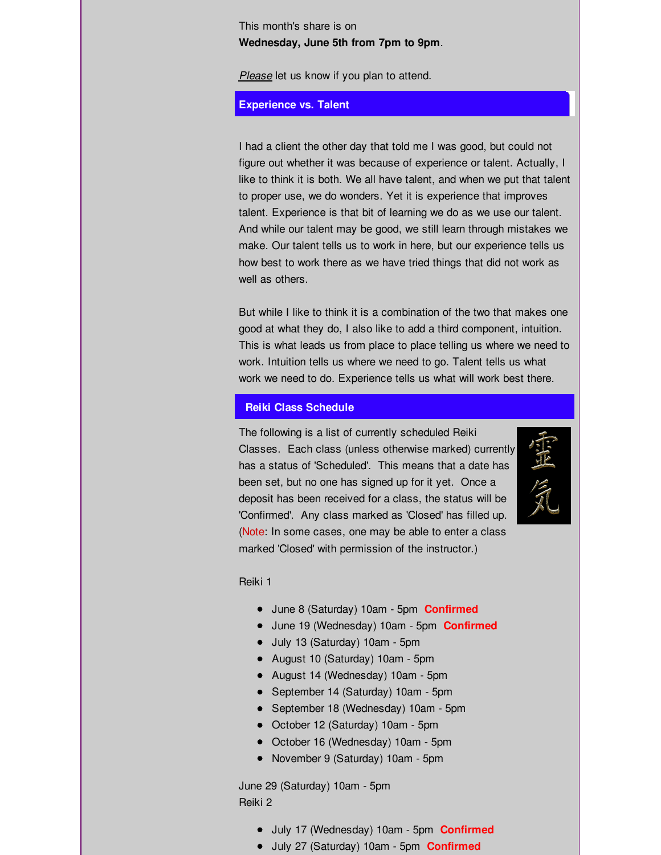This month's share is on **Wednesday, June 5th from 7pm to 9pm**.

*Please* let us know if you plan to attend.

## **Experience vs. Talent**

I had a client the other day that told me I was good, but could not figure out whether it was because of experience or talent. Actually, I like to think it is both. We all have talent, and when we put that talent to proper use, we do wonders. Yet it is experience that improves talent. Experience is that bit of learning we do as we use our talent. And while our talent may be good, we still learn through mistakes we make. Our talent tells us to work in here, but our experience tells us how best to work there as we have tried things that did not work as well as others.

But while I like to think it is a combination of the two that makes one good at what they do, I also like to add a third component, intuition. This is what leads us from place to place telling us where we need to work. Intuition tells us where we need to go. Talent tells us what work we need to do. Experience tells us what will work best there.

#### **Reiki Class Schedule**

The following is a list of currently scheduled Reiki Classes. Each class (unless otherwise marked) currently has a status of 'Scheduled'. This means that a date has been set, but no one has signed up for it yet. Once a deposit has been received for a class, the status will be 'Confirmed'. Any class marked as 'Closed' has filled up. (Note: In some cases, one may be able to enter a class marked 'Closed' with permission of the instructor.)



#### Reiki 1

- June 8 (Saturday) 10am 5pm **Confirmed**
- June 19 (Wednesday) 10am 5pm **Confirmed**
- July 13 (Saturday) 10am 5pm
- August 10 (Saturday) 10am 5pm
- August 14 (Wednesday) 10am 5pm
- September 14 (Saturday) 10am 5pm
- September 18 (Wednesday) 10am 5pm
- October 12 (Saturday) 10am 5pm
- October 16 (Wednesday) 10am 5pm
- November 9 (Saturday) 10am 5pm

June 29 (Saturday) 10am - 5pm Reiki 2

- July 17 (Wednesday) 10am 5pm **Confirmed**
- July 27 (Saturday) 10am 5pm **Confirmed**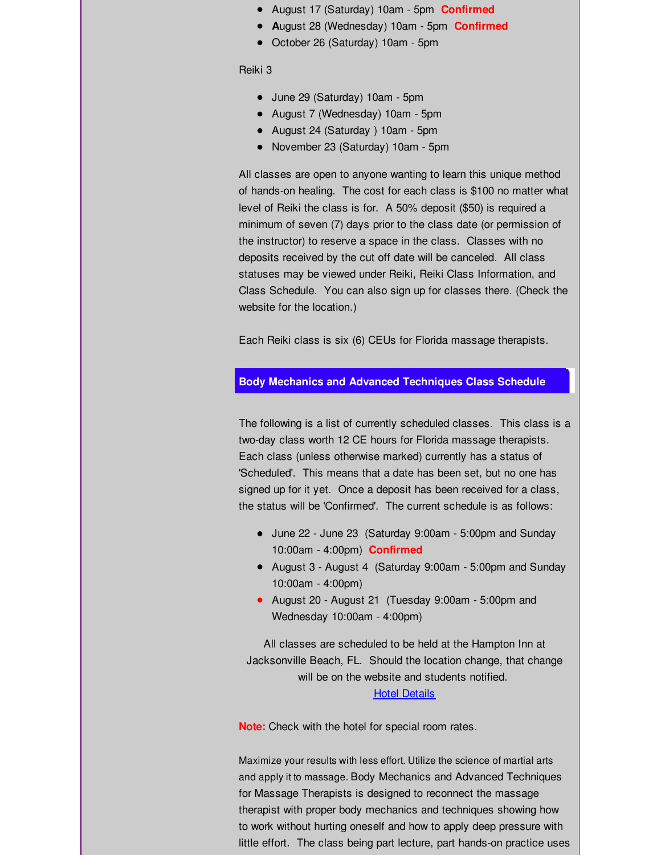- August 17 (Saturday) 10am 5pm **Confirmed**
- **A**ugust 28 (Wednesday) 10am 5pm **Confirmed**
- October 26 (Saturday) 10am 5pm

Reiki 3

- June 29 (Saturday) 10am 5pm
- August 7 (Wednesday) 10am 5pm
- August 24 (Saturday ) 10am 5pm
- November 23 (Saturday) 10am 5pm

All classes are open to anyone wanting to learn this unique method of hands-on healing. The cost for each class is \$100 no matter what level of Reiki the class is for. A 50% deposit (\$50) is required a minimum of seven (7) days prior to the class date (or permission of the instructor) to reserve a space in the class. Classes with no deposits received by the cut off date will be canceled. All class statuses may be viewed under Reiki, Reiki Class Information, and Class Schedule. You can also sign up for classes there. (Check the website for the location.)

Each Reiki class is six (6) CEUs for Florida massage therapists.

## **Body Mechanics and Advanced Techniques Class Schedule**

The following is a list of currently scheduled classes. This class is a two-day class worth 12 CE hours for Florida massage therapists. Each class (unless otherwise marked) currently has a status of 'Scheduled'. This means that a date has been set, but no one has signed up for it yet. Once a deposit has been received for a class, the status will be 'Confirmed'. The current schedule is as follows:

- June 22 June 23 (Saturday 9:00am 5:00pm and Sunday 10:00am - 4:00pm) **Confirmed**
- August 3 August 4 (Saturday 9:00am 5:00pm and Sunday 10:00am - 4:00pm)
- August 20 August 21 (Tuesday 9:00am 5:00pm and Wednesday 10:00am - 4:00pm)

All classes are scheduled to be held at the Hampton Inn at Jacksonville Beach, FL. Should the location change, that change will be on the website and students notified. Hotel [Details](http://r20.rs6.net/tn.jsp?f=001y1ltD-1ldJDzDiVwNHG-Es5HooYJqU2RTJRjSvwn_LiyjeQXwVNZuAm_keXLBxt0oxUcLWuKUTVaVohJMqAxNjnjZt6s3z4MjrXryEbPtWv3rUa3NJDXHtehxHPuQ1cXJ_NvG_kH8KhudtJIpKp-Nz8GVtUoaLGbUFRGk8ZWiDnHPZSmaa7ze4h3Ru7O3XiwBiRoQn49exLB5_T5eVjXLoOp5YTVIpd8&c=&ch=)

**Note:** Check with the hotel for special room rates.

Maximize your results with less effort. Utilize the science of martial arts and apply it to massage. Body Mechanics and Advanced Techniques for Massage Therapists is designed to reconnect the massage therapist with proper body mechanics and techniques showing how to work without hurting oneself and how to apply deep pressure with little effort. The class being part lecture, part hands-on practice uses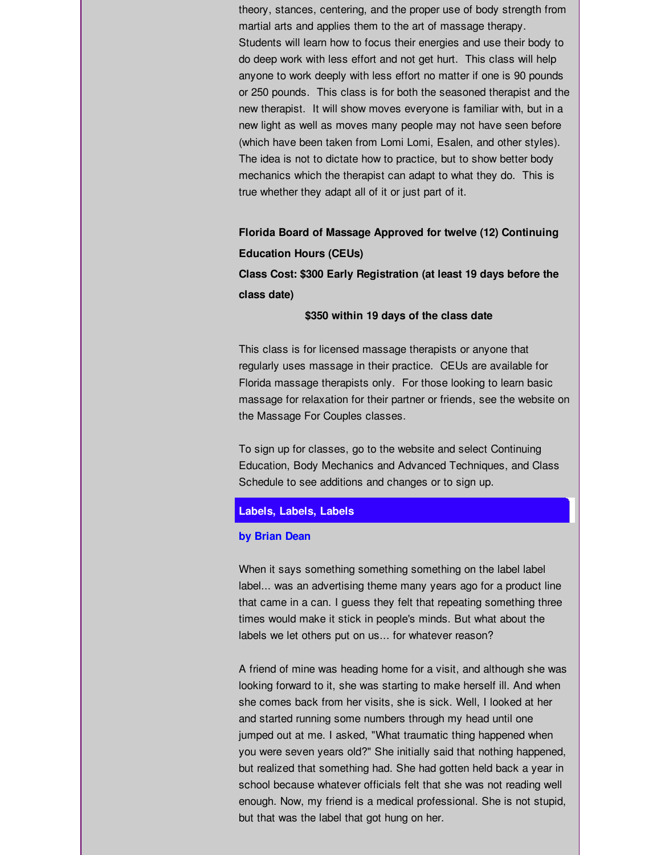theory, stances, centering, and the proper use of body strength from martial arts and applies them to the art of massage therapy. Students will learn how to focus their energies and use their body to do deep work with less effort and not get hurt. This class will help anyone to work deeply with less effort no matter if one is 90 pounds or 250 pounds. This class is for both the seasoned therapist and the new therapist. It will show moves everyone is familiar with, but in a new light as well as moves many people may not have seen before (which have been taken from Lomi Lomi, Esalen, and other styles). The idea is not to dictate how to practice, but to show better body mechanics which the therapist can adapt to what they do. This is true whether they adapt all of it or just part of it.

**Florida Board of Massage Approved for twelve (12) Continuing Education Hours (CEUs)**

**Class Cost: \$300 Early Registration (at least 19 days before the class date)**

**\$350 within 19 days of the class date**

This class is for licensed massage therapists or anyone that regularly uses massage in their practice. CEUs are available for Florida massage therapists only. For those looking to learn basic massage for relaxation for their partner or friends, see the website on the Massage For Couples classes.

To sign up for classes, go to the website and select Continuing Education, Body Mechanics and Advanced Techniques, and Class Schedule to see additions and changes or to sign up.

## **Labels, Labels, Labels**

#### **by Brian Dean**

When it says something something something on the label label label... was an advertising theme many years ago for a product line that came in a can. I guess they felt that repeating something three times would make it stick in people's minds. But what about the labels we let others put on us... for whatever reason?

A friend of mine was heading home for a visit, and although she was looking forward to it, she was starting to make herself ill. And when she comes back from her visits, she is sick. Well, I looked at her and started running some numbers through my head until one jumped out at me. I asked, "What traumatic thing happened when you were seven years old?" She initially said that nothing happened, but realized that something had. She had gotten held back a year in school because whatever officials felt that she was not reading well enough. Now, my friend is a medical professional. She is not stupid, but that was the label that got hung on her.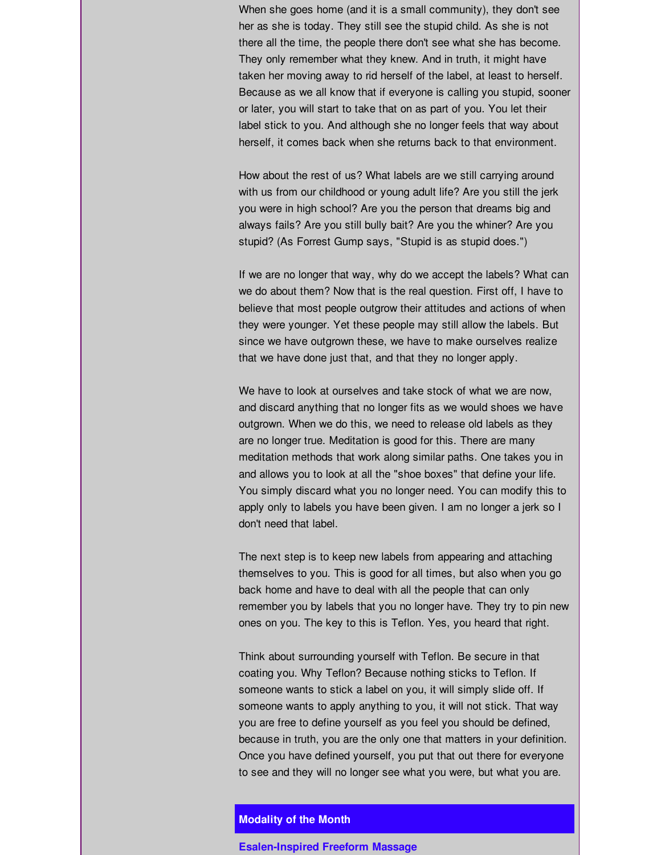When she goes home (and it is a small community), they don't see her as she is today. They still see the stupid child. As she is not there all the time, the people there don't see what she has become. They only remember what they knew. And in truth, it might have taken her moving away to rid herself of the label, at least to herself. Because as we all know that if everyone is calling you stupid, sooner or later, you will start to take that on as part of you. You let their label stick to you. And although she no longer feels that way about herself, it comes back when she returns back to that environment.

How about the rest of us? What labels are we still carrying around with us from our childhood or young adult life? Are you still the jerk you were in high school? Are you the person that dreams big and always fails? Are you still bully bait? Are you the whiner? Are you stupid? (As Forrest Gump says, "Stupid is as stupid does.")

If we are no longer that way, why do we accept the labels? What can we do about them? Now that is the real question. First off, I have to believe that most people outgrow their attitudes and actions of when they were younger. Yet these people may still allow the labels. But since we have outgrown these, we have to make ourselves realize that we have done just that, and that they no longer apply.

We have to look at ourselves and take stock of what we are now, and discard anything that no longer fits as we would shoes we have outgrown. When we do this, we need to release old labels as they are no longer true. Meditation is good for this. There are many meditation methods that work along similar paths. One takes you in and allows you to look at all the "shoe boxes" that define your life. You simply discard what you no longer need. You can modify this to apply only to labels you have been given. I am no longer a jerk so I don't need that label.

The next step is to keep new labels from appearing and attaching themselves to you. This is good for all times, but also when you go back home and have to deal with all the people that can only remember you by labels that you no longer have. They try to pin new ones on you. The key to this is Teflon. Yes, you heard that right.

Think about surrounding yourself with Teflon. Be secure in that coating you. Why Teflon? Because nothing sticks to Teflon. If someone wants to stick a label on you, it will simply slide off. If someone wants to apply anything to you, it will not stick. That way you are free to define yourself as you feel you should be defined, because in truth, you are the only one that matters in your definition. Once you have defined yourself, you put that out there for everyone to see and they will no longer see what you were, but what you are.

# **Modality of the Month**

### **Esalen-Inspired Freeform Massage**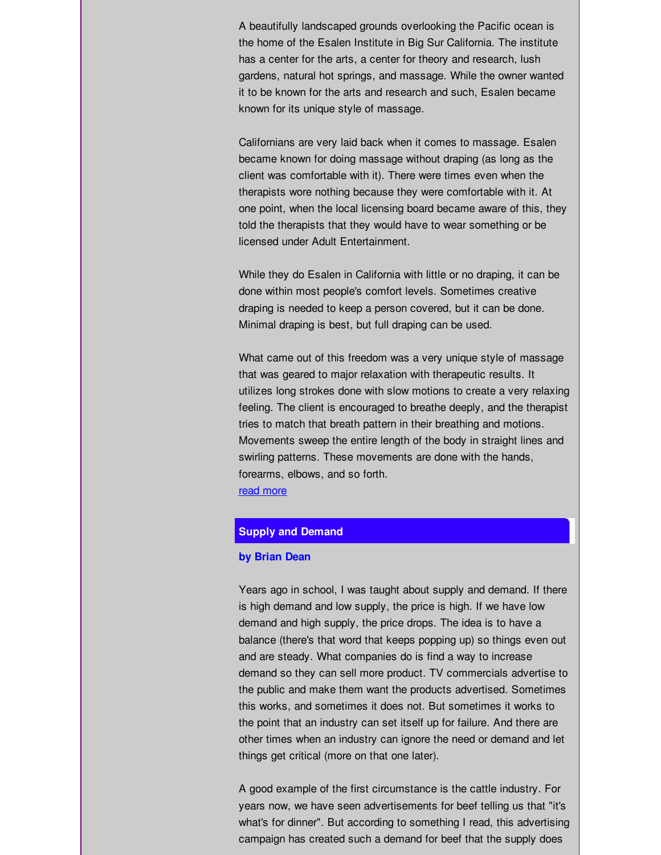A beautifully landscaped grounds overlooking the Pacific ocean is the home of the Esalen Institute in Big Sur California. The institute has a center for the arts, a center for theory and research, lush gardens, natural hot springs, and massage. While the owner wanted it to be known for the arts and research and such, Esalen became known for its unique style of massage.

Californians are very laid back when it comes to massage. Esalen became known for doing massage without draping (as long as the client was comfortable with it). There were times even when the therapists wore nothing because they were comfortable with it. At one point, when the local licensing board became aware of this, they told the therapists that they would have to wear something or be licensed under Adult Entertainment.

While they do Esalen in California with little or no draping, it can be done within most people's comfort levels. Sometimes creative draping is needed to keep a person covered, but it can be done. Minimal draping is best, but full draping can be used.

What came out of this freedom was a very unique style of massage that was geared to major relaxation with therapeutic results. It utilizes long strokes done with slow motions to create a very relaxing feeling. The client is encouraged to breathe deeply, and the therapist tries to match that breath pattern in their breathing and motions. Movements sweep the entire length of the body in straight lines and swirling patterns. These movements are done with the hands, forearms, elbows, and so forth. read [more](http://r20.rs6.net/tn.jsp?t=ritwswmab.0.dxlri8kab.tu8uywbab.&r=3&p=http%3A%2F%2Fwww.caringpalms.com%2Farticle_esalen.html)

#### **Supply and Demand**

#### **by Brian Dean**

Years ago in school, I was taught about supply and demand. If there is high demand and low supply, the price is high. If we have low demand and high supply, the price drops. The idea is to have a balance (there's that word that keeps popping up) so things even out and are steady. What companies do is find a way to increase demand so they can sell more product. TV commercials advertise to the public and make them want the products advertised. Sometimes this works, and sometimes it does not. But sometimes it works to the point that an industry can set itself up for failure. And there are other times when an industry can ignore the need or demand and let things get critical (more on that one later).

A good example of the first circumstance is the cattle industry. For years now, we have seen advertisements for beef telling us that "it's what's for dinner". But according to something I read, this advertising campaign has created such a demand for beef that the supply does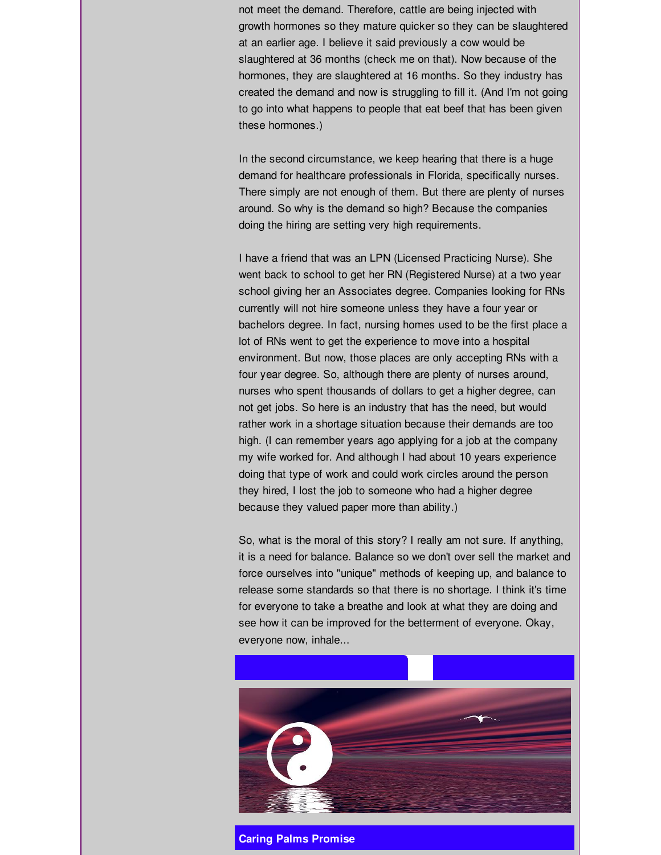not meet the demand. Therefore, cattle are being injected with growth hormones so they mature quicker so they can be slaughtered at an earlier age. I believe it said previously a cow would be slaughtered at 36 months (check me on that). Now because of the hormones, they are slaughtered at 16 months. So they industry has created the demand and now is struggling to fill it. (And I'm not going to go into what happens to people that eat beef that has been given these hormones.)

In the second circumstance, we keep hearing that there is a huge demand for healthcare professionals in Florida, specifically nurses. There simply are not enough of them. But there are plenty of nurses around. So why is the demand so high? Because the companies doing the hiring are setting very high requirements.

I have a friend that was an LPN (Licensed Practicing Nurse). She went back to school to get her RN (Registered Nurse) at a two year school giving her an Associates degree. Companies looking for RNs currently will not hire someone unless they have a four year or bachelors degree. In fact, nursing homes used to be the first place a lot of RNs went to get the experience to move into a hospital environment. But now, those places are only accepting RNs with a four year degree. So, although there are plenty of nurses around, nurses who spent thousands of dollars to get a higher degree, can not get jobs. So here is an industry that has the need, but would rather work in a shortage situation because their demands are too high. (I can remember years ago applying for a job at the company my wife worked for. And although I had about 10 years experience doing that type of work and could work circles around the person they hired, I lost the job to someone who had a higher degree because they valued paper more than ability.)

So, what is the moral of this story? I really am not sure. If anything, it is a need for balance. Balance so we don't over sell the market and force ourselves into "unique" methods of keeping up, and balance to release some standards so that there is no shortage. I think it's time for everyone to take a breathe and look at what they are doing and see how it can be improved for the betterment of everyone. Okay, everyone now, inhale...



**Caring Palms Promise**